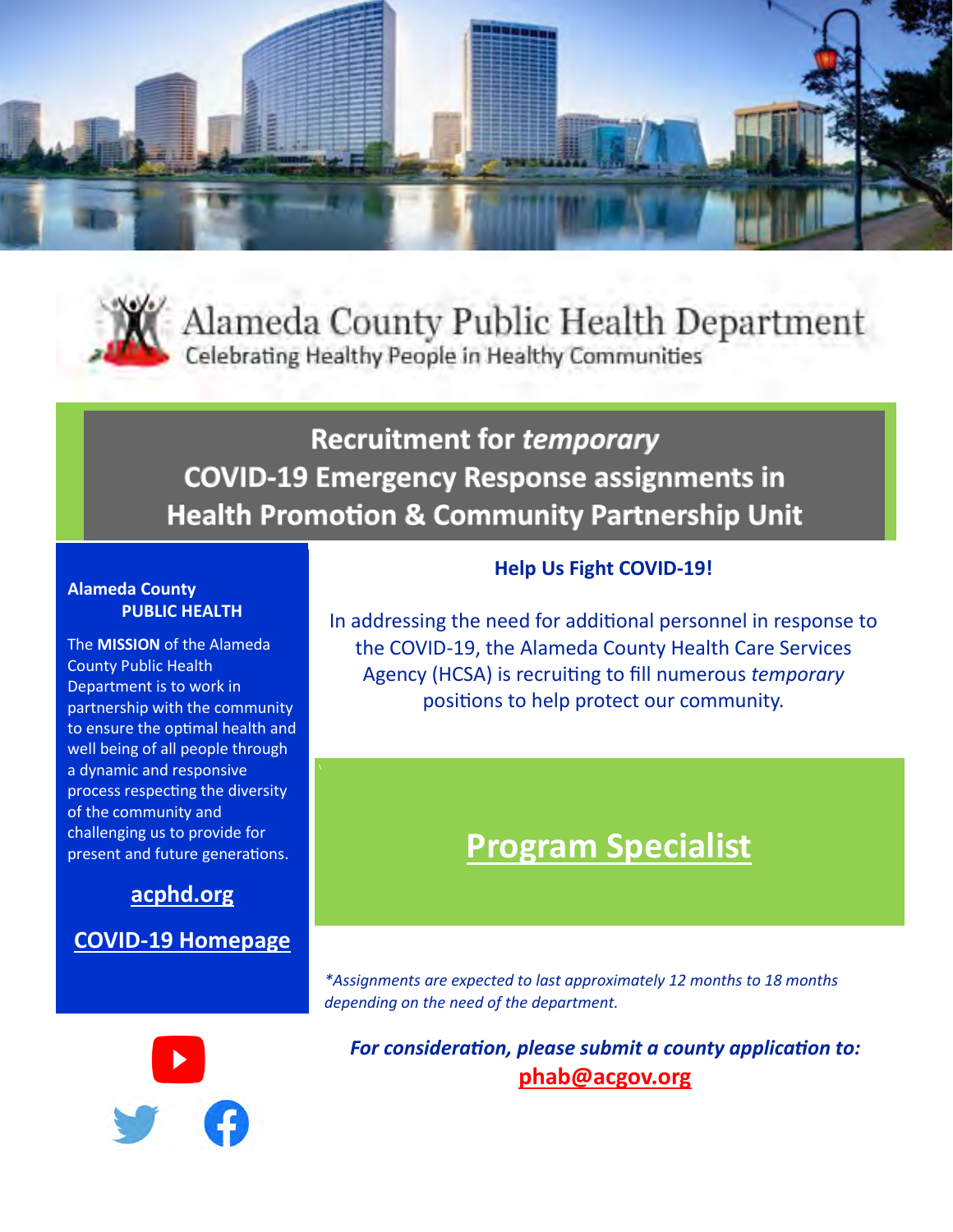



Alameda County Public Health Department Celebrating Healthy People in Healthy Communities

# **Recruitment for temporary COVID-19 Emergency Response assignments in Health Promotion & Community Partnership Unit**

#### **Alameda County PUBLIC HEALTH**

The **MISSION** of the Alameda County Public Health Department is to work in partnership with the community to ensure the optimal health and well being of all people through a dynamic and responsive process respecting the diversity of the community and challenging us to provide for present and future generations.

## **[acphd.org](https://www.acphd.org/)**

## **COVID-[19 Homepage](https://covid-19.acgov.org/index.page)**

### **Help Us Fight COVID-19!**

In addressing the need for additional personnel in response to the COVID-19, the Alameda County Health Care Services Agency (HCSA) is recruiting to fill numerous *temporary* positions to help protect our community.

# **Program Specialist**

*\*Assignments are expected to last approximately 12 months to 18 months depending on the need of the department.*



*For consideration, please submit a county application to:* **[phab@acgov.org](mailto:phab@acgov.org)**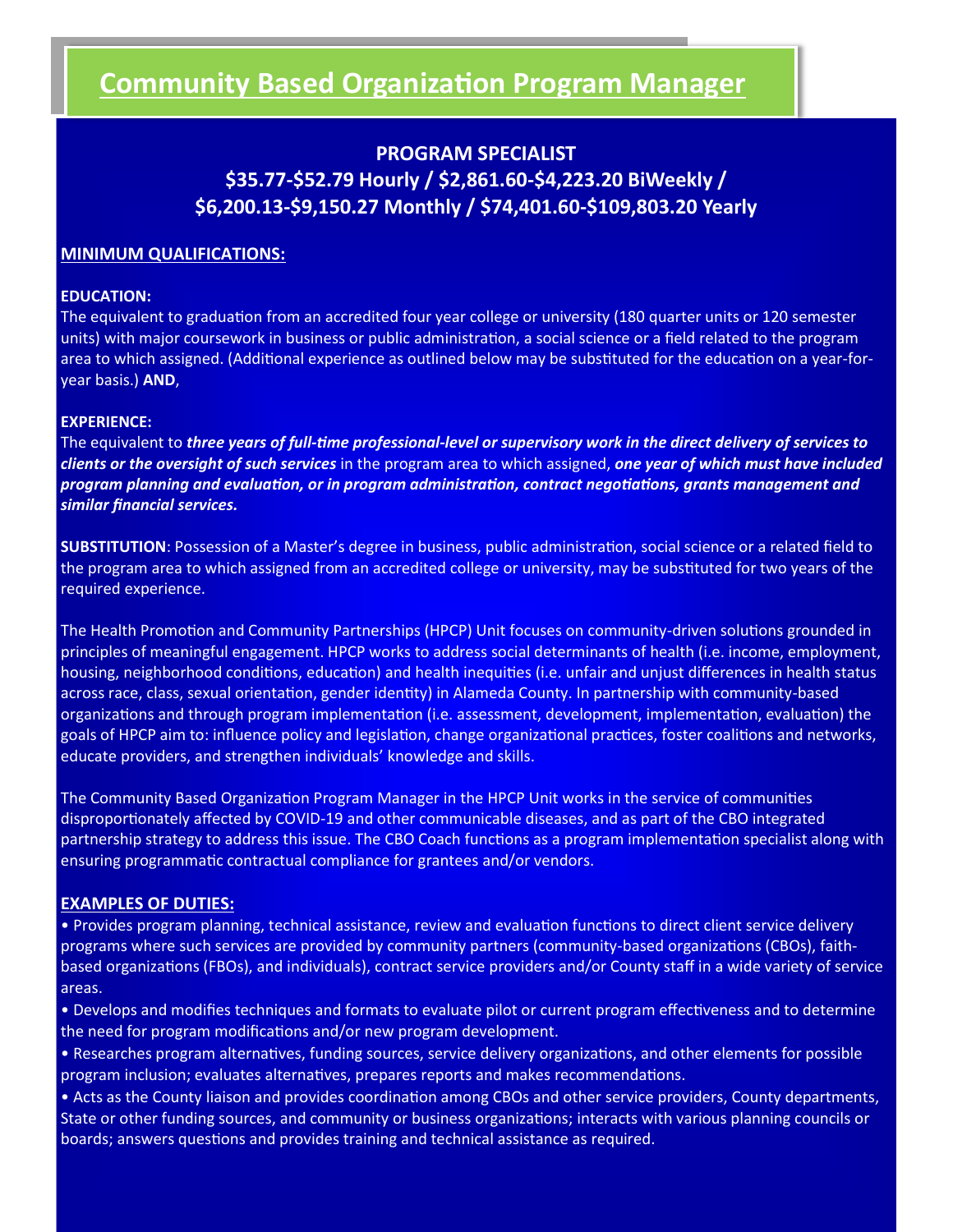## **Community Based Organization Program Manager**

### **PROGRAM SPECIALIST \$35.77-\$52.79 Hourly / \$2,861.60-\$4,223.20 BiWeekly / \$6,200.13-\$9,150.27 Monthly / \$74,401.60-\$109,803.20 Yearly**

#### **MINIMUM QUALIFICATIONS:**

#### **EDUCATION:**

The equivalent to graduation from an accredited four year college or university (180 quarter units or 120 semester units) with major coursework in business or public administration, a social science or a field related to the program area to which assigned. (Additional experience as outlined below may be substituted for the education on a year-foryear basis.) **AND**,

#### **EXPERIENCE:**

The equivalent to *three years of full-time professional-level or supervisory work in the direct delivery of services to clients or the oversight of such services* in the program area to which assigned, *one year of which must have included program planning and evaluation, or in program administration, contract negotiations, grants management and similar financial services.* 

**SUBSTITUTION**: Possession of a Master's degree in business, public administration, social science or a related field to the program area to which assigned from an accredited college or university, may be substituted for two years of the required experience.

The Health Promotion and Community Partnerships (HPCP) Unit focuses on community-driven solutions grounded in principles of meaningful engagement. HPCP works to address social determinants of health (i.e. income, employment, housing, neighborhood conditions, education) and health inequities (i.e. unfair and unjust differences in health status across race, class, sexual orientation, gender identity) in Alameda County. In partnership with community-based organizations and through program implementation (i.e. assessment, development, implementation, evaluation) the goals of HPCP aim to: influence policy and legislation, change organizational practices, foster coalitions and networks, educate providers, and strengthen individuals' knowledge and skills.

The Community Based Organization Program Manager in the HPCP Unit works in the service of communities disproportionately affected by COVID-19 and other communicable diseases, and as part of the CBO integrated partnership strategy to address this issue. The CBO Coach functions as a program implementation specialist along with ensuring programmatic contractual compliance for grantees and/or vendors.

#### **EXAMPLES OF DUTIES:**

• Provides program planning, technical assistance, review and evaluation functions to direct client service delivery programs where such services are provided by community partners (community-based organizations (CBOs), faithbased organizations (FBOs), and individuals), contract service providers and/or County staff in a wide variety of service areas.

• Develops and modifies techniques and formats to evaluate pilot or current program effectiveness and to determine the need for program modifications and/or new program development.

• Researches program alternatives, funding sources, service delivery organizations, and other elements for possible program inclusion; evaluates alternatives, prepares reports and makes recommendations.

• Acts as the County liaison and provides coordination among CBOs and other service providers, County departments, State or other funding sources, and community or business organizations; interacts with various planning councils or boards; answers questions and provides training and technical assistance as required.